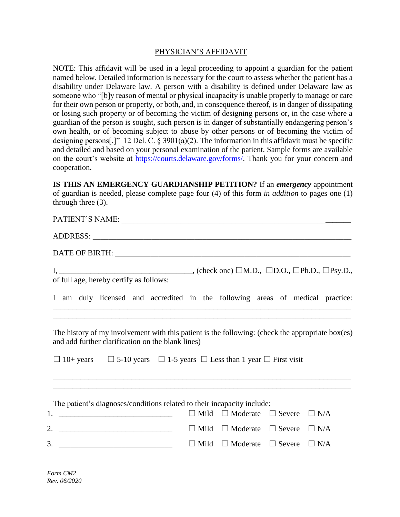## PHYSICIAN'S AFFIDAVIT

NOTE: This affidavit will be used in a legal proceeding to appoint a guardian for the patient named below. Detailed information is necessary for the court to assess whether the patient has a disability under Delaware law. A person with a disability is defined under Delaware law as someone who "[b]y reason of mental or physical incapacity is unable properly to manage or care for their own person or property, or both, and, in consequence thereof, is in danger of dissipating or losing such property or of becoming the victim of designing persons or, in the case where a guardian of the person is sought, such person is in danger of substantially endangering person's own health, or of becoming subject to abuse by other persons or of becoming the victim of designing persons[.]" 12 Del. C.  $\S 3901(a)(2)$ . The information in this affidavit must be specific and detailed and based on your personal examination of the patient. Sample forms are available on the court's website at [https://courts.delaware.gov/forms/.](https://courts.delaware.gov/forms/) Thank you for your concern and cooperation.

**IS THIS AN EMERGENCY GUARDIANSHIP PETITION?** If an *emergency* appointment of guardian is needed, please complete page four (4) of this form *in addition* to pages one (1) through three (3).

| PATIENT'S NAME:                                                                                                                                                                                                                                                                                                                             |
|---------------------------------------------------------------------------------------------------------------------------------------------------------------------------------------------------------------------------------------------------------------------------------------------------------------------------------------------|
|                                                                                                                                                                                                                                                                                                                                             |
|                                                                                                                                                                                                                                                                                                                                             |
| of full age, hereby certify as follows:                                                                                                                                                                                                                                                                                                     |
| I am duly licensed and accredited in the following areas of medical practice:                                                                                                                                                                                                                                                               |
| ,我们也不会有什么。""我们的人,我们也不会有什么?""我们的人,我们也不会有什么?""我们的人,我们也不会有什么?""我们的人,我们也不会有什么?""我们的人<br>The history of my involvement with this patient is the following: (check the appropriate box(es)<br>and add further clarification on the blank lines)<br>$\Box$ 10+ years $\Box$ 5-10 years $\Box$ 1-5 years $\Box$ Less than 1 year $\Box$ First visit |
| ,我们也不能在这里的时候,我们也不能在这里的时候,我们也不能会在这里的时候,我们也不能会在这里的时候,我们也不能会在这里的时候,我们也不能会在这里的时候,我们也不<br>The patient's diagnoses/conditions related to their incapacity include:                                                                                                                                                                                |
| 1.<br>$\Box$ Mild<br>$\Box$ Moderate $\Box$ Severe<br>$\Box$ N/A<br><u> 1989 - Johann Harry Harry Harry Harry Harry Harry Harry Harry Harry Harry Harry Harry Harry Harry Harry Harry Harry Harry Harry Harry Harry Harry Harry Harry Harry Harry Harry Harry Harry Harry Harry Harry Harry Harry Ha</u>                                    |
| 2. $\overline{\phantom{a}}$<br>$\Box$ Mild $\Box$ Moderate $\Box$ Severe $\Box$ N/A                                                                                                                                                                                                                                                         |
| 3.<br>$\Box$ Moderate $\Box$ Severe<br>$\Box$ N/A<br>$\Box$ Mild                                                                                                                                                                                                                                                                            |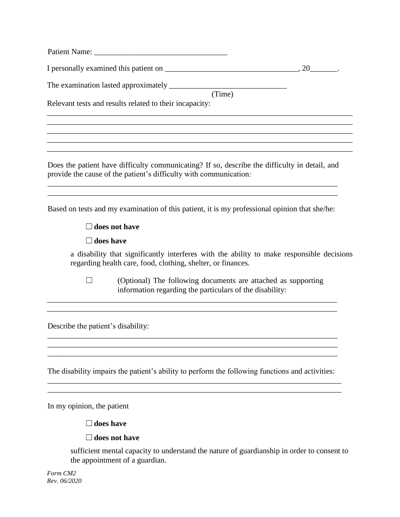| (Time)<br>Relevant tests and results related to their incapacity:                                                                                                             |
|-------------------------------------------------------------------------------------------------------------------------------------------------------------------------------|
|                                                                                                                                                                               |
| Does the patient have difficulty communicating? If so, describe the difficulty in detail, and<br>provide the cause of the patient's difficulty with communication:            |
| Based on tests and my examination of this patient, it is my professional opinion that she/he:                                                                                 |
| $\Box$ does not have                                                                                                                                                          |
| $\Box$ does have<br>a disability that significantly interferes with the ability to make responsible decisions<br>regarding health care, food, clothing, shelter, or finances. |
| (Optional) The following documents are attached as supporting<br>information regarding the particulars of the disability:                                                     |
| Describe the patient's disability:                                                                                                                                            |
| The disability impairs the patient's ability to perform the following functions and activities:                                                                               |

In my opinion, the patient

## ☐**does have**

## ☐**does not have**

sufficient mental capacity to understand the nature of guardianship in order to consent to the appointment of a guardian.

*Form CM2 Rev. 06/2020*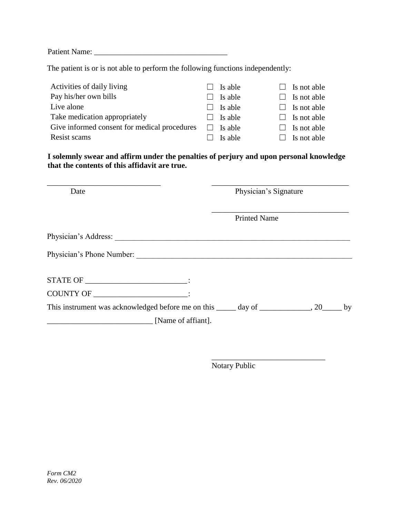Patient Name: \_\_\_\_\_\_\_\_\_\_\_\_\_\_\_\_\_\_\_\_\_\_\_\_\_\_\_\_\_\_\_\_\_\_

The patient is or is not able to perform the following functions independently:

| Activities of daily living                   | Is able                             | $\Box$ Is not able |
|----------------------------------------------|-------------------------------------|--------------------|
| Pay his/her own bills                        | Is able                             | $\Box$ Is not able |
| Live alone                                   | Is able                             | $\Box$ Is not able |
| Take medication appropriately                | Is able<br>$\overline{\phantom{a}}$ | $\Box$ Is not able |
| Give informed consent for medical procedures | Is able                             | $\Box$ Is not able |
| Resist scams                                 | Is able                             | $\Box$ Is not able |

**I solemnly swear and affirm under the penalties of perjury and upon personal knowledge that the contents of this affidavit are true.**

| Date                                                                                      | Physician's Signature |  |  |
|-------------------------------------------------------------------------------------------|-----------------------|--|--|
|                                                                                           | <b>Printed Name</b>   |  |  |
|                                                                                           |                       |  |  |
| Physician's Phone Number:                                                                 |                       |  |  |
| STATE OF ______________________________:                                                  |                       |  |  |
| COUNTY OF FIGURE COUNTY OF                                                                |                       |  |  |
| This instrument was acknowledged before me on this _____ day of _____________, 20_____ by |                       |  |  |
| $\boxed{\text{Name of affiant}}$ .                                                        |                       |  |  |

Notary Public

\_\_\_\_\_\_\_\_\_\_\_\_\_\_\_\_\_\_\_\_\_\_\_\_\_\_\_\_\_